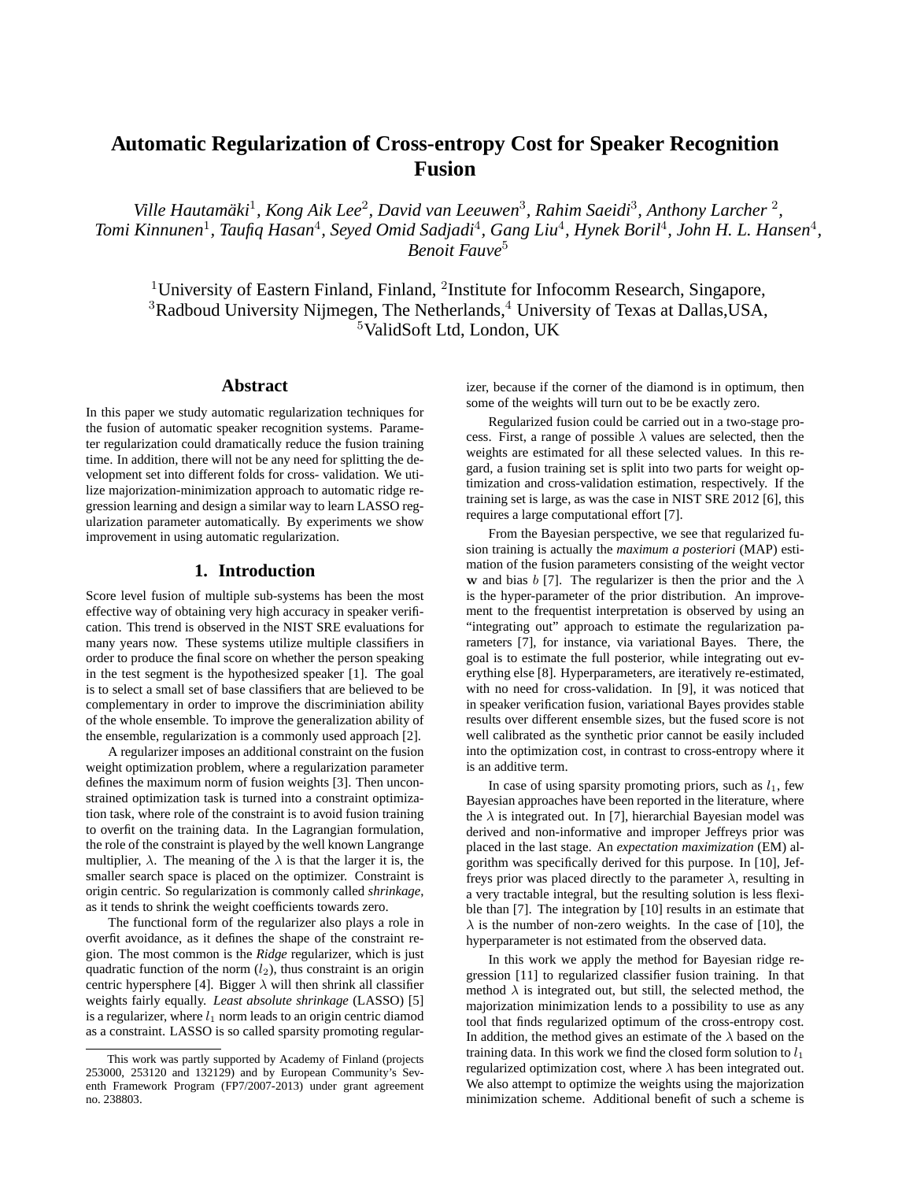# **Automatic Regularization of Cross-entropy Cost for Speaker Recognition Fusion**

Ville Hautamäki<sup>1</sup>, Kong Aik Lee<sup>2</sup>, David van Leeuwen<sup>3</sup>, Rahim Saeidi<sup>3</sup>, Anthony Larcher<sup>2</sup>, *Tomi Kinnunen<sup>1</sup>, Taufiq Hasan<sup>4</sup>, Seyed Omid Sadjadi<sup>4</sup>, Gang Liu<sup>4</sup>, Hynek Boril<sup>4</sup>, John H. L. Hansen<sup>4</sup>, Benoit Fauve*<sup>5</sup>

<sup>1</sup>University of Eastern Finland, Finland, <sup>2</sup>Institute for Infocomm Research, Singapore,  $3R$ adboud University Nijmegen, The Netherlands, $4$  University of Texas at Dallas, USA, <sup>5</sup>ValidSoft Ltd, London, UK

# **Abstract**

In this paper we study automatic regularization techniques for the fusion of automatic speaker recognition systems. Parameter regularization could dramatically reduce the fusion training time. In addition, there will not be any need for splitting the development set into different folds for cross- validation. We utilize majorization-minimization approach to automatic ridge regression learning and design a similar way to learn LASSO regularization parameter automatically. By experiments we show improvement in using automatic regularization.

## **1. Introduction**

Score level fusion of multiple sub-systems has been the most effective way of obtaining very high accuracy in speaker verification. This trend is observed in the NIST SRE evaluations for many years now. These systems utilize multiple classifiers in order to produce the final score on whether the person speaking in the test segment is the hypothesized speaker [1]. The goal is to select a small set of base classifiers that are believed to be complementary in order to improve the discriminiation ability of the whole ensemble. To improve the generalization ability of the ensemble, regularization is a commonly used approach [2].

A regularizer imposes an additional constraint on the fusion weight optimization problem, where a regularization parameter defines the maximum norm of fusion weights [3]. Then unconstrained optimization task is turned into a constraint optimization task, where role of the constraint is to avoid fusion training to overfit on the training data. In the Lagrangian formulation, the role of the constraint is played by the well known Langrange multiplier,  $\lambda$ . The meaning of the  $\lambda$  is that the larger it is, the smaller search space is placed on the optimizer. Constraint is origin centric. So regularization is commonly called *shrinkage*, as it tends to shrink the weight coefficients towards zero.

The functional form of the regularizer also plays a role in overfit avoidance, as it defines the shape of the constraint region. The most common is the *Ridge* regularizer, which is just quadratic function of the norm  $(l_2)$ , thus constraint is an origin centric hypersphere [4]. Bigger  $\lambda$  will then shrink all classifier weights fairly equally. *Least absolute shrinkage* (LASSO) [5] is a regularizer, where  $l_1$  norm leads to an origin centric diamod as a constraint. LASSO is so called sparsity promoting regularizer, because if the corner of the diamond is in optimum, then some of the weights will turn out to be be exactly zero.

Regularized fusion could be carried out in a two-stage process. First, a range of possible  $\lambda$  values are selected, then the weights are estimated for all these selected values. In this regard, a fusion training set is split into two parts for weight optimization and cross-validation estimation, respectively. If the training set is large, as was the case in NIST SRE 2012 [6], this requires a large computational effort [7].

From the Bayesian perspective, we see that regularized fusion training is actually the *maximum a posteriori* (MAP) estimation of the fusion parameters consisting of the weight vector w and bias b [7]. The regularizer is then the prior and the  $\lambda$ is the hyper-parameter of the prior distribution. An improvement to the frequentist interpretation is observed by using an "integrating out" approach to estimate the regularization parameters [7], for instance, via variational Bayes. There, the goal is to estimate the full posterior, while integrating out everything else [8]. Hyperparameters, are iteratively re-estimated, with no need for cross-validation. In [9], it was noticed that in speaker verification fusion, variational Bayes provides stable results over different ensemble sizes, but the fused score is not well calibrated as the synthetic prior cannot be easily included into the optimization cost, in contrast to cross-entropy where it is an additive term.

In case of using sparsity promoting priors, such as  $l_1$ , few Bayesian approaches have been reported in the literature, where the  $\lambda$  is integrated out. In [7], hierarchial Bayesian model was derived and non-informative and improper Jeffreys prior was placed in the last stage. An *expectation maximization* (EM) algorithm was specifically derived for this purpose. In [10], Jeffreys prior was placed directly to the parameter  $\lambda$ , resulting in a very tractable integral, but the resulting solution is less flexible than [7]. The integration by [10] results in an estimate that  $\lambda$  is the number of non-zero weights. In the case of [10], the hyperparameter is not estimated from the observed data.

In this work we apply the method for Bayesian ridge regression [11] to regularized classifier fusion training. In that method  $\lambda$  is integrated out, but still, the selected method, the majorization minimization lends to a possibility to use as any tool that finds regularized optimum of the cross-entropy cost. In addition, the method gives an estimate of the  $\lambda$  based on the training data. In this work we find the closed form solution to  $l_1$ regularized optimization cost, where  $\lambda$  has been integrated out. We also attempt to optimize the weights using the majorization minimization scheme. Additional benefit of such a scheme is

This work was partly supported by Academy of Finland (projects 253000, 253120 and 132129) and by European Community's Seventh Framework Program (FP7/2007-2013) under grant agreement no. 238803.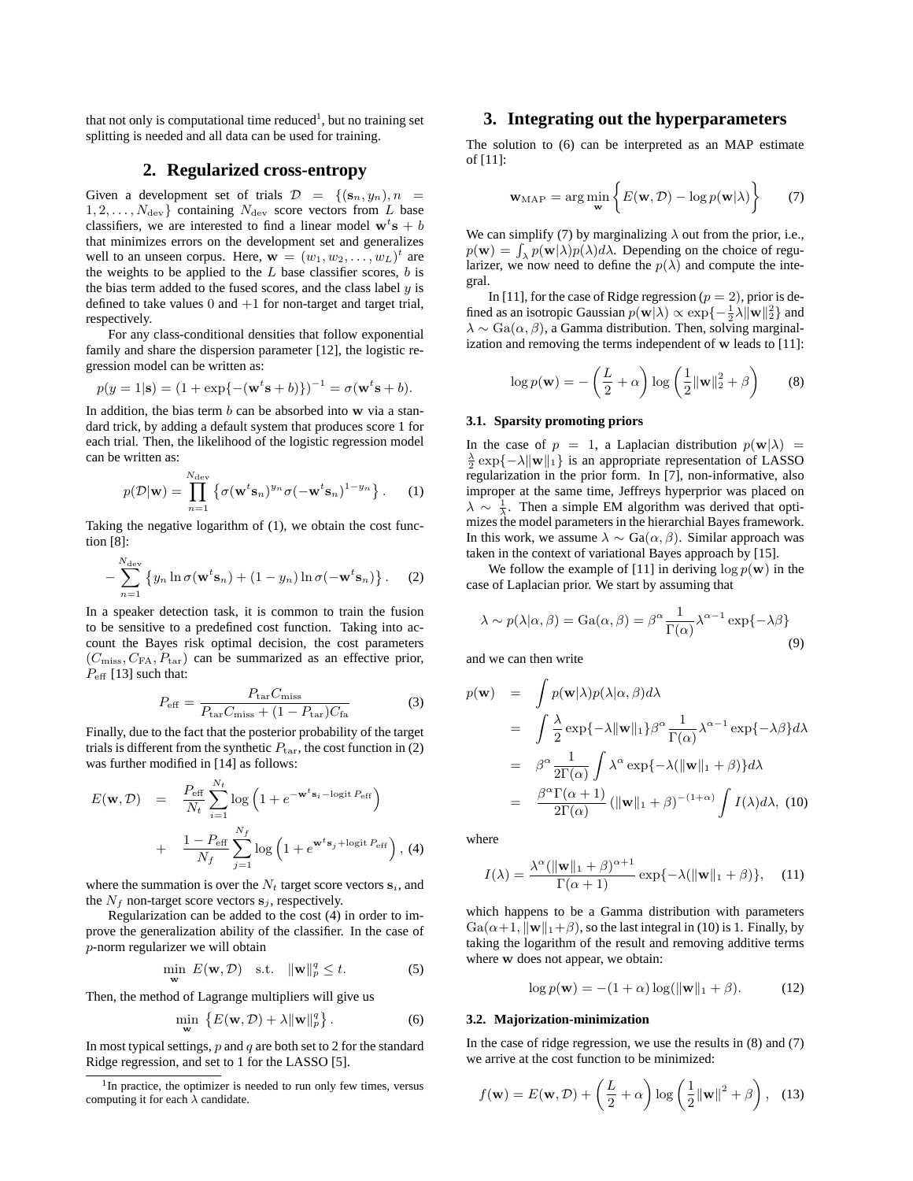that not only is computational time reduced<sup>1</sup>, but no training set splitting is needed and all data can be used for training.

## **2. Regularized cross-entropy**

Given a development set of trials  $\mathcal{D} = \{(\mathbf{s}_n, y_n), n =$  $1, 2, \ldots, N_{\text{dev}}$  containing  $N_{\text{dev}}$  score vectors from L base classifiers, we are interested to find a linear model  $\mathbf{w}^t\mathbf{s} + b$ that minimizes errors on the development set and generalizes well to an unseen corpus. Here,  $\mathbf{w} = (w_1, w_2, \dots, w_L)^t$  are the weights to be applied to the  $L$  base classifier scores,  $b$  is the bias term added to the fused scores, and the class label  $y$  is defined to take values  $0$  and  $+1$  for non-target and target trial, respectively.

For any class-conditional densities that follow exponential family and share the dispersion parameter [12], the logistic regression model can be written as:

$$
p(y = 1|\mathbf{s}) = (1 + \exp\{-(\mathbf{w}^t \mathbf{s} + b)\})^{-1} = \sigma(\mathbf{w}^t \mathbf{s} + b).
$$

In addition, the bias term  $b$  can be absorbed into  $w$  via a standard trick, by adding a default system that produces score 1 for each trial. Then, the likelihood of the logistic regression model can be written as:

$$
p(\mathcal{D}|\mathbf{w}) = \prod_{n=1}^{N_{\text{dev}}} \left\{ \sigma(\mathbf{w}^t \mathbf{s}_n)^{y_n} \sigma(-\mathbf{w}^t \mathbf{s}_n)^{1-y_n} \right\}.
$$
 (1)

Taking the negative logarithm of (1), we obtain the cost function [8]:

$$
-\sum_{n=1}^{N_{\text{dev}}} \left\{y_n \ln \sigma(\mathbf{w}^t \mathbf{s}_n) + (1 - y_n) \ln \sigma(-\mathbf{w}^t \mathbf{s}_n)\right\}.
$$
 (2)

In a speaker detection task, it is common to train the fusion to be sensitive to a predefined cost function. Taking into account the Bayes risk optimal decision, the cost parameters  $(C_{\text{miss}}, C_{\text{FA}}, P_{\text{tar}})$  can be summarized as an effective prior,  $P_{\text{eff}}$  [13] such that:

$$
P_{\text{eff}} = \frac{P_{\text{tar}} C_{\text{miss}}}{P_{\text{tar}} C_{\text{miss}} + (1 - P_{\text{tar}}) C_{\text{fa}}}
$$
(3)

Finally, due to the fact that the posterior probability of the target trials is different from the synthetic  $P_{\text{tar}}$ , the cost function in (2) was further modified in [14] as follows:

$$
E(\mathbf{w}, \mathcal{D}) = \frac{P_{\text{eff}}}{N_t} \sum_{i=1}^{N_t} \log \left( 1 + e^{-\mathbf{w}^t \mathbf{s}_i - \log \text{it } P_{\text{eff}}} \right)
$$

$$
+ \frac{1 - P_{\text{eff}}}{N_f} \sum_{j=1}^{N_f} \log \left( 1 + e^{\mathbf{w}^t \mathbf{s}_j + \log \text{it } P_{\text{eff}}} \right), (4)
$$

where the summation is over the  $N_t$  target score vectors  $s_i$ , and the  $N_f$  non-target score vectors  $s_i$ , respectively.

Regularization can be added to the cost (4) in order to improve the generalization ability of the classifier. In the case of p-norm regularizer we will obtain

$$
\min_{\mathbf{w}} E(\mathbf{w}, \mathcal{D}) \quad \text{s.t.} \quad \|\mathbf{w}\|_{p}^{q} \leq t. \tag{5}
$$

Then, the method of Lagrange multipliers will give us

$$
\min_{\mathbf{w}} \left\{ E(\mathbf{w}, \mathcal{D}) + \lambda \|\mathbf{w}\|_p^q \right\}.
$$
 (6)

In most typical settings,  $p$  and  $q$  are both set to 2 for the standard Ridge regression, and set to 1 for the LASSO [5].

## **3. Integrating out the hyperparameters**

The solution to (6) can be interpreted as an MAP estimate of [11]:

$$
\mathbf{w}_{\text{MAP}} = \arg\min_{\mathbf{w}} \left\{ E(\mathbf{w}, \mathcal{D}) - \log p(\mathbf{w}|\lambda) \right\} \tag{7}
$$

We can simplify (7) by marginalizing  $\lambda$  out from the prior, i.e.,  $p(\mathbf{w}) = \int_{\lambda} p(\mathbf{w}|\lambda)p(\lambda)d\lambda$ . Depending on the choice of regularizer, we now need to define the  $p(\lambda)$  and compute the integral.

In [11], for the case of Ridge regression ( $p = 2$ ), prior is defined as an isotropic Gaussian  $p(\mathbf{w}|\lambda) \propto \exp\{-\frac{1}{2}\lambda \|\mathbf{w}\|_2^2\}$  and  $\lambda \sim \text{Ga}(\alpha, \beta)$ , a Gamma distribution. Then, solving marginalization and removing the terms independent of w leads to [11]:

$$
\log p(\mathbf{w}) = -\left(\frac{L}{2} + \alpha\right) \log \left(\frac{1}{2} \|\mathbf{w}\|_{2}^{2} + \beta\right) \tag{8}
$$

#### **3.1. Sparsity promoting priors**

In the case of  $p = 1$ , a Laplacian distribution  $p(\mathbf{w}|\lambda) =$  $\frac{\lambda}{2}$  exp{- $\lambda$ ||w||1} is an appropriate representation of LASSO regularization in the prior form. In [7], non-informative, also improper at the same time, Jeffreys hyperprior was placed on  $\lambda \sim \frac{1}{\lambda}$ . Then a simple EM algorithm was derived that optimizes the model parameters in the hierarchial Bayes framework. In this work, we assume  $\lambda \sim Ga(\alpha, \beta)$ . Similar approach was taken in the context of variational Bayes approach by [15].

We follow the example of [11] in deriving  $\log p(\mathbf{w})$  in the case of Laplacian prior. We start by assuming that

$$
\lambda \sim p(\lambda|\alpha, \beta) = \text{Ga}(\alpha, \beta) = \beta^{\alpha} \frac{1}{\Gamma(\alpha)} \lambda^{\alpha - 1} \exp\{-\lambda\beta\}
$$
\n(9)

and we can then write

$$
p(\mathbf{w}) = \int p(\mathbf{w}|\lambda)p(\lambda|\alpha, \beta)d\lambda
$$
  
\n
$$
= \int \frac{\lambda}{2} \exp\{-\lambda \|\mathbf{w}\|_1\} \beta^{\alpha} \frac{1}{\Gamma(\alpha)} \lambda^{\alpha-1} \exp\{-\lambda \beta\} d\lambda
$$
  
\n
$$
= \beta^{\alpha} \frac{1}{2\Gamma(\alpha)} \int \lambda^{\alpha} \exp\{-\lambda (\|\mathbf{w}\|_1 + \beta)\} d\lambda
$$
  
\n
$$
= \frac{\beta^{\alpha}\Gamma(\alpha+1)}{2\Gamma(\alpha)} (\|\mathbf{w}\|_1 + \beta)^{-(1+\alpha)} \int I(\lambda) d\lambda, (10)
$$

where

$$
I(\lambda) = \frac{\lambda^{\alpha}(\|\mathbf{w}\|_{1} + \beta)^{\alpha+1}}{\Gamma(\alpha+1)} \exp\{-\lambda(\|\mathbf{w}\|_{1} + \beta)\}, \quad (11)
$$

which happens to be a Gamma distribution with parameters  $Ga(\alpha+1, \|\mathbf{w}\|_1+\beta)$ , so the last integral in (10) is 1. Finally, by taking the logarithm of the result and removing additive terms where w does not appear, we obtain:

$$
\log p(\mathbf{w}) = -(1+\alpha)\log(\|\mathbf{w}\|_1 + \beta). \tag{12}
$$

#### **3.2. Majorization-minimization**

In the case of ridge regression, we use the results in (8) and (7) we arrive at the cost function to be minimized:

$$
f(\mathbf{w}) = E(\mathbf{w}, \mathcal{D}) + \left(\frac{L}{2} + \alpha\right) \log\left(\frac{1}{2} ||\mathbf{w}||^2 + \beta\right), \quad (13)
$$

<sup>&</sup>lt;sup>1</sup>In practice, the optimizer is needed to run only few times, versus computing it for each  $\lambda$  candidate.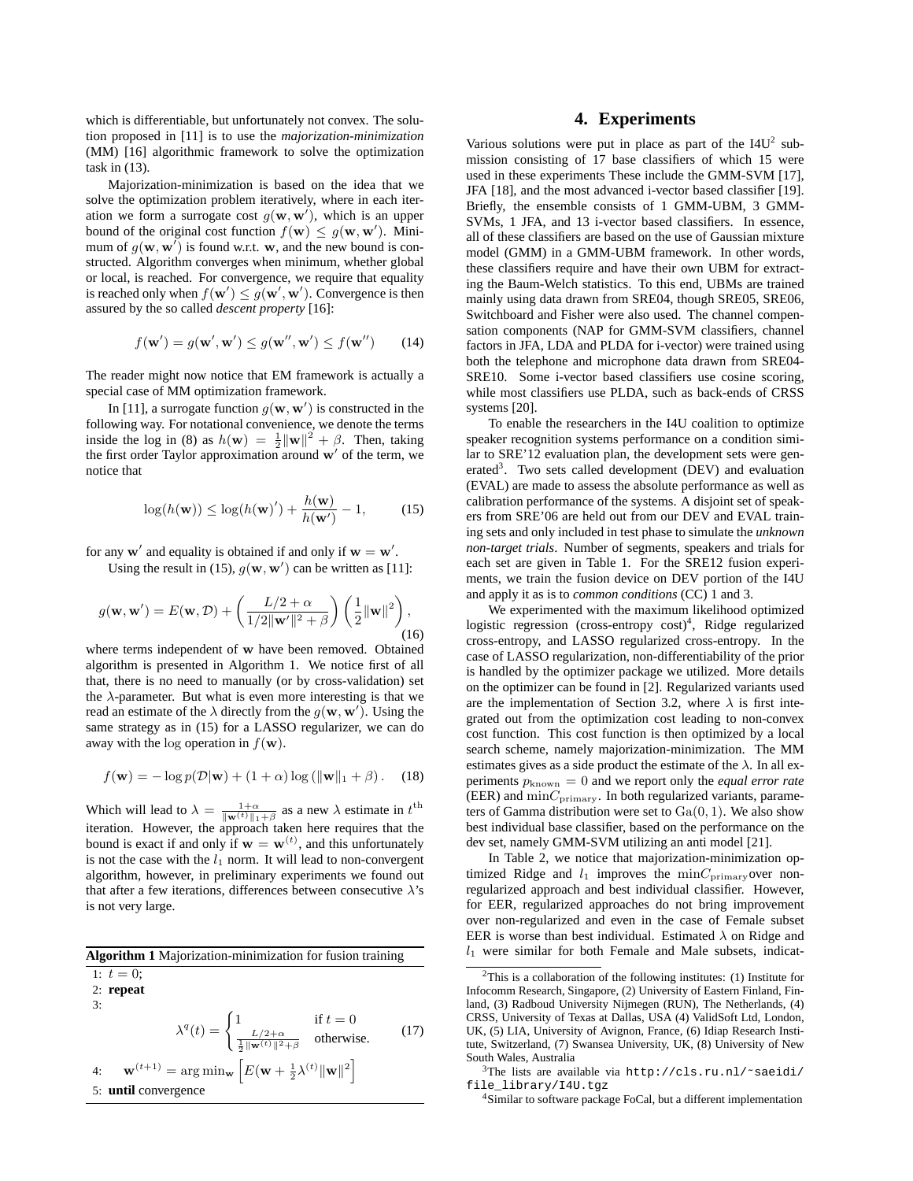which is differentiable, but unfortunately not convex. The solution proposed in [11] is to use the *majorization-minimization* (MM) [16] algorithmic framework to solve the optimization task in (13).

Majorization-minimization is based on the idea that we solve the optimization problem iteratively, where in each iteration we form a surrogate cost  $g(\mathbf{w}, \mathbf{w}')$ , which is an upper bound of the original cost function  $f(\mathbf{w}) \leq g(\mathbf{w}, \mathbf{w}')$ . Minimum of  $g(\mathbf{w}, \mathbf{w}')$  is found w.r.t. w, and the new bound is constructed. Algorithm converges when minimum, whether global or local, is reached. For convergence, we require that equality is reached only when  $f(\mathbf{w}') \leq g(\mathbf{w}', \mathbf{w}')$ . Convergence is then assured by the so called *descent property* [16]:

$$
f(\mathbf{w}') = g(\mathbf{w}', \mathbf{w}') \le g(\mathbf{w}'', \mathbf{w}') \le f(\mathbf{w}'') \qquad (14)
$$

The reader might now notice that EM framework is actually a special case of MM optimization framework.

In [11], a surrogate function  $g(\mathbf{w}, \mathbf{w}')$  is constructed in the following way. For notational convenience, we denote the terms inside the log in (8) as  $h(\mathbf{w}) = \frac{1}{2} ||\mathbf{w}||^2 + \beta$ . Then, taking the first order Taylor approximation around w′ of the term, we notice that

$$
\log(h(\mathbf{w})) \le \log(h(\mathbf{w})') + \frac{h(\mathbf{w})}{h(\mathbf{w}')} - 1,
$$
 (15)

for any  $w'$  and equality is obtained if and only if  $w = w'$ .

Using the result in (15),  $g(\mathbf{w}, \mathbf{w}')$  can be written as [11]:

$$
g(\mathbf{w}, \mathbf{w}') = E(\mathbf{w}, \mathcal{D}) + \left(\frac{L/2 + \alpha}{1/2 \|\mathbf{w}'\|^2 + \beta}\right) \left(\frac{1}{2} \|\mathbf{w}\|^2\right),\tag{16}
$$

where terms independent of w have been removed. Obtained algorithm is presented in Algorithm 1. We notice first of all that, there is no need to manually (or by cross-validation) set the  $\lambda$ -parameter. But what is even more interesting is that we read an estimate of the  $\lambda$  directly from the  $g(\mathbf{w}, \mathbf{w}')$ . Using the same strategy as in (15) for a LASSO regularizer, we can do away with the log operation in  $f(\mathbf{w})$ .

$$
f(\mathbf{w}) = -\log p(\mathcal{D}|\mathbf{w}) + (1 + \alpha) \log (||\mathbf{w}||_1 + \beta). \quad (18)
$$

Which will lead to  $\lambda = \frac{1+\alpha}{\|\mathbf{w}^{(t)}\|_1+\beta}$  as a new  $\lambda$  estimate in  $t^{\text{th}}$ iteration. However, the approach taken here requires that the bound is exact if and only if  $\mathbf{w} = \mathbf{w}^{(t)}$ , and this unfortunately is not the case with the  $l_1$  norm. It will lead to non-convergent algorithm, however, in preliminary experiments we found out that after a few iterations, differences between consecutive  $\lambda$ 's is not very large.

| <b>Algorithm 1</b> Majorization-minimization for fusion training |                                                                                                                                                          |  |      |  |  |  |
|------------------------------------------------------------------|----------------------------------------------------------------------------------------------------------------------------------------------------------|--|------|--|--|--|
| 1: $t=0$ ;                                                       |                                                                                                                                                          |  |      |  |  |  |
| $2:$ repeat                                                      |                                                                                                                                                          |  |      |  |  |  |
| 3:                                                               |                                                                                                                                                          |  |      |  |  |  |
|                                                                  | $\lambda^{q}(t) = \begin{cases} 1 & \text{if } t = 0 \\ \frac{L/2 + \alpha}{\frac{1}{2}   \mathbf{w}^{(t)}  ^2 + \beta} & \text{otherwise.} \end{cases}$ |  | (17) |  |  |  |

4: 
$$
\mathbf{w}^{(t+1)} = \arg\min_{\mathbf{w}} \left[ E(\mathbf{w} + \frac{1}{2}\lambda^{(t)} \|\mathbf{w}\|^2 \right]
$$
  
5: **until** convergence

## **4. Experiments**

Various solutions were put in place as part of the  $I4U<sup>2</sup>$  submission consisting of 17 base classifiers of which 15 were used in these experiments These include the GMM-SVM [17], JFA [18], and the most advanced i-vector based classifier [19]. Briefly, the ensemble consists of 1 GMM-UBM, 3 GMM-SVMs, 1 JFA, and 13 i-vector based classifiers. In essence, all of these classifiers are based on the use of Gaussian mixture model (GMM) in a GMM-UBM framework. In other words, these classifiers require and have their own UBM for extracting the Baum-Welch statistics. To this end, UBMs are trained mainly using data drawn from SRE04, though SRE05, SRE06, Switchboard and Fisher were also used. The channel compensation components (NAP for GMM-SVM classifiers, channel factors in JFA, LDA and PLDA for i-vector) were trained using both the telephone and microphone data drawn from SRE04- SRE10. Some i-vector based classifiers use cosine scoring, while most classifiers use PLDA, such as back-ends of CRSS systems [20].

To enable the researchers in the I4U coalition to optimize speaker recognition systems performance on a condition similar to SRE'12 evaluation plan, the development sets were generated<sup>3</sup>. Two sets called development (DEV) and evaluation (EVAL) are made to assess the absolute performance as well as calibration performance of the systems. A disjoint set of speakers from SRE'06 are held out from our DEV and EVAL training sets and only included in test phase to simulate the *unknown non-target trials*. Number of segments, speakers and trials for each set are given in Table 1. For the SRE12 fusion experiments, we train the fusion device on DEV portion of the I4U and apply it as is to *common conditions* (CC) 1 and 3.

We experimented with the maximum likelihood optimized logistic regression (cross-entropy cost)<sup>4</sup>, Ridge regularized cross-entropy, and LASSO regularized cross-entropy. In the case of LASSO regularization, non-differentiability of the prior is handled by the optimizer package we utilized. More details on the optimizer can be found in [2]. Regularized variants used are the implementation of Section 3.2, where  $\lambda$  is first integrated out from the optimization cost leading to non-convex cost function. This cost function is then optimized by a local search scheme, namely majorization-minimization. The MM estimates gives as a side product the estimate of the  $\lambda$ . In all experiments  $p_{known} = 0$  and we report only the *equal error rate* (EER) and  $\min_{\text{Primary}}$ . In both regularized variants, parameters of Gamma distribution were set to  $Ga(0, 1)$ . We also show best individual base classifier, based on the performance on the dev set, namely GMM-SVM utilizing an anti model [21].

In Table 2, we notice that majorization-minimization optimized Ridge and  $l_1$  improves the  $\min C_{\text{primary}}$ over nonregularized approach and best individual classifier. However, for EER, regularized approaches do not bring improvement over non-regularized and even in the case of Female subset EER is worse than best individual. Estimated  $\lambda$  on Ridge and  $l_1$  were similar for both Female and Male subsets, indicat-

 $2$ This is a collaboration of the following institutes: (1) Institute for Infocomm Research, Singapore, (2) University of Eastern Finland, Finland, (3) Radboud University Nijmegen (RUN), The Netherlands, (4) CRSS, University of Texas at Dallas, USA (4) ValidSoft Ltd, London, UK, (5) LIA, University of Avignon, France, (6) Idiap Research Institute, Switzerland, (7) Swansea University, UK, (8) University of New South Wales, Australia

<sup>&</sup>lt;sup>3</sup>The lists are available via http://cls.ru.nl/~saeidi/ file\_library/I4U.tgz

<sup>4</sup>Similar to software package FoCal, but a different implementation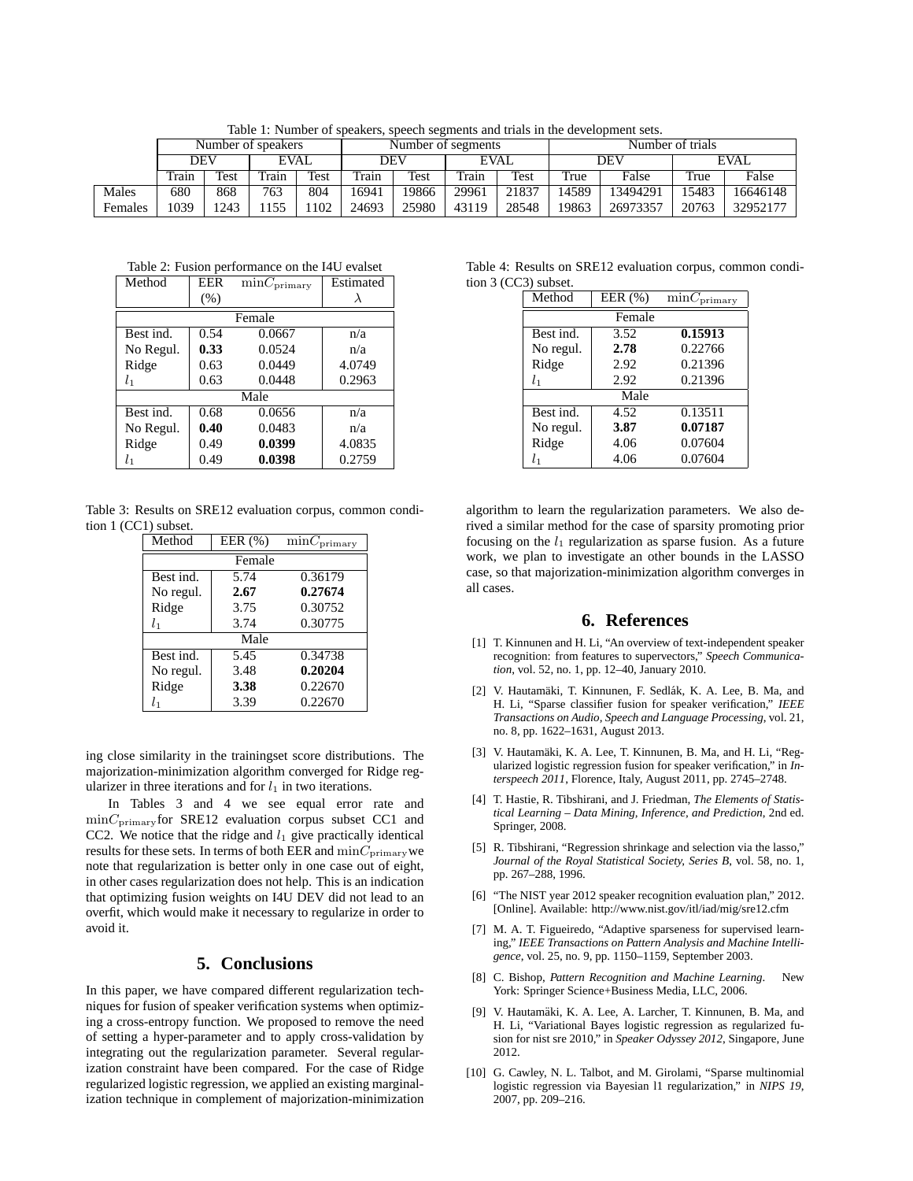Table 1: Number of speakers, speech segments and trials in the development sets.

|         | Number of speakers |      |       | Number of segments |       |       | Number of trials |       |       |          |             |          |
|---------|--------------------|------|-------|--------------------|-------|-------|------------------|-------|-------|----------|-------------|----------|
|         | <b>DEV</b>         |      | EVAL  |                    | DEV   |       | EVAL             |       | DEV   |          | <b>EVAL</b> |          |
|         | Train              | Test | Train | Test               | Train | Test  | Train            | Test  | True  | False    | True        | False    |
| Males   | 680                | 868  | 763   | 804                | 16941 | 19866 | 29961            | 21837 | 14589 | 13494291 | 15483       | 16646148 |
| Females | 1039               | 1243 | 155   | 102                | 24693 | 25980 | 43119            | 28548 | 19863 | 26973357 | 20763       | 32952177 |

Table 2: Fusion performance on the I4U evalset

| Method    | <b>EER</b> | $\min C_{\text{primary}}$ | Estimated |  |  |  |  |
|-----------|------------|---------------------------|-----------|--|--|--|--|
|           | (% )       |                           |           |  |  |  |  |
| Female    |            |                           |           |  |  |  |  |
| Best ind. | 0.54       | 0.0667                    | n/a       |  |  |  |  |
| No Regul. | 0.33       | 0.0524                    | n/a       |  |  |  |  |
| Ridge     | 0.63       | 0.0449                    | 4.0749    |  |  |  |  |
| $l_{1}$   | 0.63       | 0.0448                    | 0.2963    |  |  |  |  |
| Male      |            |                           |           |  |  |  |  |
| Best ind. | 0.68       | 0.0656                    | n/a       |  |  |  |  |
| No Regul. | 0.40       | 0.0483                    | n/a       |  |  |  |  |
| Ridge     | 0.49       | 0.0399                    | 4.0835    |  |  |  |  |
| $l_{1}$   | 0.49       | 0.0398                    | 0.2759    |  |  |  |  |

Table 3: Results on SRE12 evaluation corpus, common condition 1 (CC1) subset.

| Method    | EER $(\%)$ | $\min C_{\text{primary}}$ |  |  |  |  |
|-----------|------------|---------------------------|--|--|--|--|
| Female    |            |                           |  |  |  |  |
| Best ind. | 5.74       | 0.36179                   |  |  |  |  |
| No regul. | 2.67       | 0.27674                   |  |  |  |  |
| Ridge     | 3.75       | 0.30752                   |  |  |  |  |
| $l_{1}$   | 3.74       | 0.30775                   |  |  |  |  |
| Male      |            |                           |  |  |  |  |
| Best ind. | 5.45       | 0.34738                   |  |  |  |  |
| No regul. | 3.48       | 0.20204                   |  |  |  |  |
| Ridge     | 3.38       | 0.22670                   |  |  |  |  |
| $l_{1}$   | 3.39       | 0.22670                   |  |  |  |  |

ing close similarity in the trainingset score distributions. The majorization-minimization algorithm converged for Ridge regularizer in three iterations and for  $l_1$  in two iterations.

In Tables 3 and 4 we see equal error rate and  $\text{min}C_{\text{primary}}$  for SRE12 evaluation corpus subset CC1 and CC2. We notice that the ridge and  $l_1$  give practically identical results for these sets. In terms of both EER and  $\mathrm{min}C_{\mathrm{primary}}$  we note that regularization is better only in one case out of eight, in other cases regularization does not help. This is an indication that optimizing fusion weights on I4U DEV did not lead to an overfit, which would make it necessary to regularize in order to avoid it.

#### **5. Conclusions**

In this paper, we have compared different regularization techniques for fusion of speaker verification systems when optimizing a cross-entropy function. We proposed to remove the need of setting a hyper-parameter and to apply cross-validation by integrating out the regularization parameter. Several regularization constraint have been compared. For the case of Ridge regularized logistic regression, we applied an existing marginalization technique in complement of majorization-minimization

Table 4: Results on SRE12 evaluation corpus, common condition 3 (CC3) subset.

|  | Method         | EER $(\% )$ | $\min C_{\text{primary}}$ |  |  |  |  |
|--|----------------|-------------|---------------------------|--|--|--|--|
|  | Female         |             |                           |  |  |  |  |
|  | Best ind.      | 3.52        | 0.15913                   |  |  |  |  |
|  | No regul.      | 2.78        | 0.22766                   |  |  |  |  |
|  | Ridge          | 2.92        | 0.21396                   |  |  |  |  |
|  | l <sub>1</sub> | 2.92        | 0.21396                   |  |  |  |  |
|  |                | Male        |                           |  |  |  |  |
|  | Best ind.      | 4.52        | 0.13511                   |  |  |  |  |
|  | No regul.      | 3.87        | 0.07187                   |  |  |  |  |
|  | Ridge          | 4.06        | 0.07604                   |  |  |  |  |
|  | l1             | 4.06        | 0.07604                   |  |  |  |  |
|  |                |             |                           |  |  |  |  |

algorithm to learn the regularization parameters. We also derived a similar method for the case of sparsity promoting prior focusing on the  $l_1$  regularization as sparse fusion. As a future work, we plan to investigate an other bounds in the LASSO case, so that majorization-minimization algorithm converges in all cases.

#### **6. References**

- [1] T. Kinnunen and H. Li, "An overview of text-independent speaker recognition: from features to supervectors," *Speech Communication*, vol. 52, no. 1, pp. 12–40, January 2010.
- [2] V. Hautamäki, T. Kinnunen, F. Sedlák, K. A. Lee, B. Ma, and H. Li, "Sparse classifier fusion for speaker verification," *IEEE Transactions on Audio, Speech and Language Processing*, vol. 21, no. 8, pp. 1622–1631, August 2013.
- [3] V. Hautamäki, K. A. Lee, T. Kinnunen, B. Ma, and H. Li, "Regularized logistic regression fusion for speaker verification," in *Interspeech 2011*, Florence, Italy, August 2011, pp. 2745–2748.
- [4] T. Hastie, R. Tibshirani, and J. Friedman, *The Elements of Statistical Learning – Data Mining, Inference, and Prediction*, 2nd ed. Springer, 2008.
- [5] R. Tibshirani, "Regression shrinkage and selection via the lasso," *Journal of the Royal Statistical Society, Series B*, vol. 58, no. 1, pp. 267–288, 1996.
- [6] "The NIST year 2012 speaker recognition evaluation plan," 2012. [Online]. Available: http://www.nist.gov/itl/iad/mig/sre12.cfm
- [7] M. A. T. Figueiredo, "Adaptive sparseness for supervised learning," *IEEE Transactions on Pattern Analysis and Machine Intelligence*, vol. 25, no. 9, pp. 1150–1159, September 2003.
- [8] C. Bishop, *Pattern Recognition and Machine Learning*. New York: Springer Science+Business Media, LLC, 2006.
- [9] V. Hautamäki, K. A. Lee, A. Larcher, T. Kinnunen, B. Ma, and H. Li, "Variational Bayes logistic regression as regularized fusion for nist sre 2010," in *Speaker Odyssey 2012*, Singapore, June 2012.
- [10] G. Cawley, N. L. Talbot, and M. Girolami, "Sparse multinomial logistic regression via Bayesian l1 regularization," in *NIPS 19*, 2007, pp. 209–216.